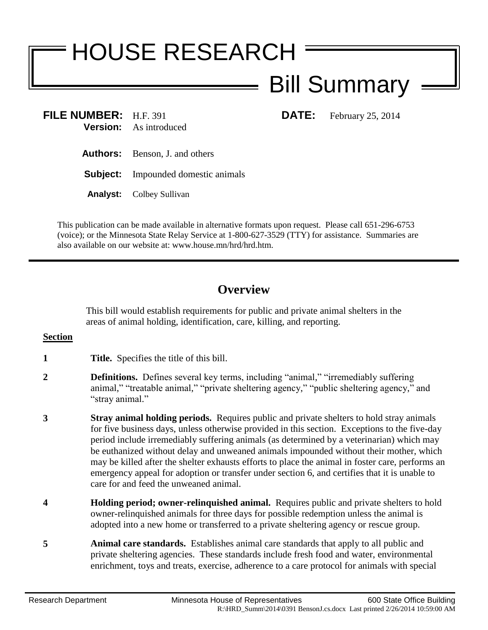# HOUSE RESEARCH

# Bill Summary

**FILE NUMBER:** H.F. 391 **DATE:** February 25, 2014 **Version:** As introduced

- **Authors:** Benson, J. and others
- **Subject:** Impounded domestic animals
- **Analyst:** Colbey Sullivan

This publication can be made available in alternative formats upon request. Please call 651-296-6753 (voice); or the Minnesota State Relay Service at 1-800-627-3529 (TTY) for assistance. Summaries are also available on our website at: www.house.mn/hrd/hrd.htm.

## **Overview**

This bill would establish requirements for public and private animal shelters in the areas of animal holding, identification, care, killing, and reporting.

### **Section**

- **1 Title.** Specifies the title of this bill.
- **2 Definitions.** Defines several key terms, including "animal," "irremediably suffering animal," "treatable animal," "private sheltering agency," "public sheltering agency," and "stray animal."
- **3 Stray animal holding periods.** Requires public and private shelters to hold stray animals for five business days, unless otherwise provided in this section. Exceptions to the five-day period include irremediably suffering animals (as determined by a veterinarian) which may be euthanized without delay and unweaned animals impounded without their mother, which may be killed after the shelter exhausts efforts to place the animal in foster care, performs an emergency appeal for adoption or transfer under section 6, and certifies that it is unable to care for and feed the unweaned animal.
- **4 Holding period; owner-relinquished animal.** Requires public and private shelters to hold owner-relinquished animals for three days for possible redemption unless the animal is adopted into a new home or transferred to a private sheltering agency or rescue group.
- **5 Animal care standards.** Establishes animal care standards that apply to all public and private sheltering agencies. These standards include fresh food and water, environmental enrichment, toys and treats, exercise, adherence to a care protocol for animals with special